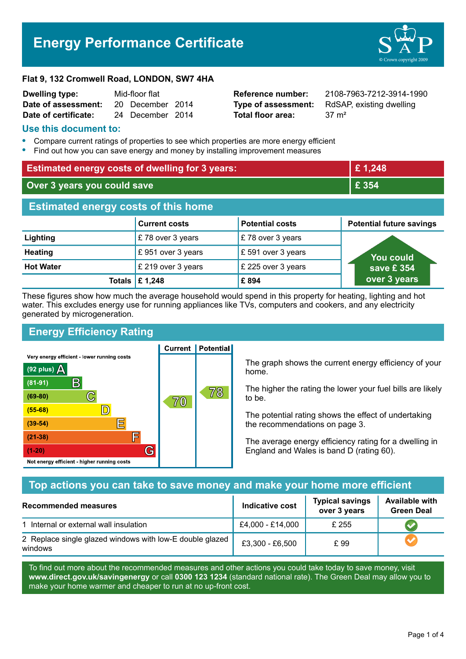# **Energy Performance Certificate**



#### **Flat 9, 132 Cromwell Road, LONDON, SW7 4HA**

| <b>Dwelling type:</b> | Mid-floor flat |                  |  |
|-----------------------|----------------|------------------|--|
| Date of assessment:   |                | 20 December 2014 |  |
| Date of certificate:  |                | 24 December 2014 |  |

**Total floor area:** 27 m<sup>2</sup>

**Reference number:** 2108-7963-7212-3914-1990 **Type of assessment:** RdSAP, existing dwelling

#### **Use this document to:**

- **•** Compare current ratings of properties to see which properties are more energy efficient
- **•** Find out how you can save energy and money by installing improvement measures

| <b>Estimated energy costs of dwelling for 3 years:</b> |                           |                        | £1,248                          |
|--------------------------------------------------------|---------------------------|------------------------|---------------------------------|
| Over 3 years you could save                            |                           | £ 354                  |                                 |
| <b>Estimated energy costs of this home</b>             |                           |                        |                                 |
|                                                        | <b>Current costs</b>      | <b>Potential costs</b> | <b>Potential future savings</b> |
| <b>Lighting</b>                                        | £78 over 3 years          | £78 over 3 years       |                                 |
| <b>Heating</b>                                         | £951 over 3 years         | £ 591 over 3 years     | <b>You could</b>                |
| <b>Hot Water</b>                                       | £ 219 over 3 years        | £ 225 over 3 years     | save £ 354                      |
|                                                        | Totals $\mathsf{E}$ 1,248 | £894                   | over 3 years                    |

These figures show how much the average household would spend in this property for heating, lighting and hot water. This excludes energy use for running appliances like TVs, computers and cookers, and any electricity generated by microgeneration.

**Current | Potential** 

# **Energy Efficiency Rating**

Very energy efficient - lower running costs



The graph shows the current energy efficiency of your home.

The higher the rating the lower your fuel bills are likely to be.

The potential rating shows the effect of undertaking the recommendations on page 3.

The average energy efficiency rating for a dwelling in England and Wales is band D (rating 60).

# **Top actions you can take to save money and make your home more efficient**

| Recommended measures                                                | Indicative cost  | <b>Typical savings</b><br>over 3 years | <b>Available with</b><br><b>Green Deal</b> |
|---------------------------------------------------------------------|------------------|----------------------------------------|--------------------------------------------|
| 1 Internal or external wall insulation                              | £4,000 - £14,000 | £ 255                                  |                                            |
| 2 Replace single glazed windows with low-E double glazed<br>windows | £3,300 - £6,500  | £ 99                                   |                                            |

To find out more about the recommended measures and other actions you could take today to save money, visit **www.direct.gov.uk/savingenergy** or call **0300 123 1234** (standard national rate). The Green Deal may allow you to make your home warmer and cheaper to run at no up-front cost.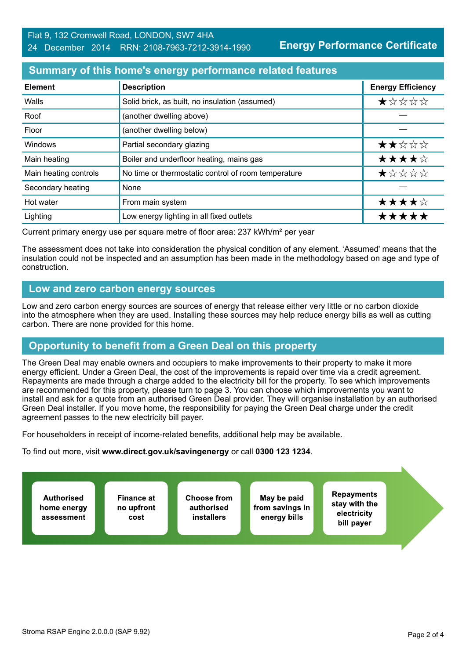**Energy Performance Certificate**

## **Summary of this home's energy performance related features**

| <b>Element</b>        | <b>Description</b>                                  | <b>Energy Efficiency</b> |
|-----------------------|-----------------------------------------------------|--------------------------|
| Walls                 | Solid brick, as built, no insulation (assumed)      | *****                    |
| Roof                  | (another dwelling above)                            |                          |
| Floor                 | (another dwelling below)                            |                          |
| Windows               | Partial secondary glazing                           | ★★☆☆☆                    |
| Main heating          | Boiler and underfloor heating, mains gas            | ★★★★☆                    |
| Main heating controls | No time or thermostatic control of room temperature | ★☆☆☆☆                    |
| Secondary heating     | None                                                |                          |
| Hot water             | From main system                                    | ★★★★☆                    |
| Lighting              | Low energy lighting in all fixed outlets            | *****                    |

Current primary energy use per square metre of floor area: 237 kWh/m² per year

The assessment does not take into consideration the physical condition of any element. 'Assumed' means that the insulation could not be inspected and an assumption has been made in the methodology based on age and type of construction.

## **Low and zero carbon energy sources**

Low and zero carbon energy sources are sources of energy that release either very little or no carbon dioxide into the atmosphere when they are used. Installing these sources may help reduce energy bills as well as cutting carbon. There are none provided for this home.

# **Opportunity to benefit from a Green Deal on this property**

The Green Deal may enable owners and occupiers to make improvements to their property to make it more energy efficient. Under a Green Deal, the cost of the improvements is repaid over time via a credit agreement. Repayments are made through a charge added to the electricity bill for the property. To see which improvements are recommended for this property, please turn to page 3. You can choose which improvements you want to install and ask for a quote from an authorised Green Deal provider. They will organise installation by an authorised Green Deal installer. If you move home, the responsibility for paying the Green Deal charge under the credit agreement passes to the new electricity bill payer.

For householders in receipt of income-related benefits, additional help may be available.

To find out more, visit **www.direct.gov.uk/savingenergy** or call **0300 123 1234**.

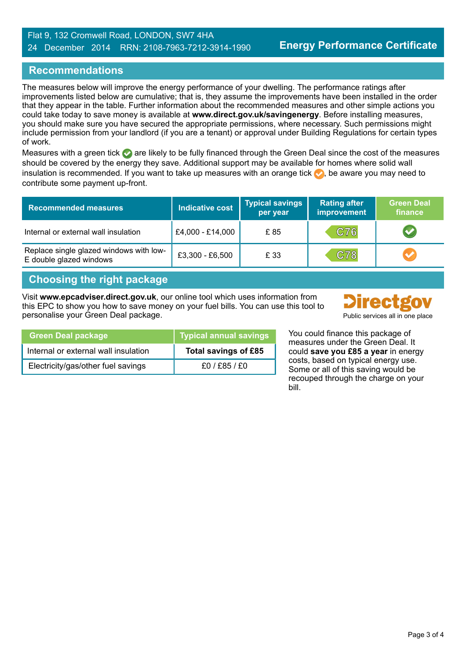#### Flat 9, 132 Cromwell Road, LONDON, SW7 4HA 24 December 2014 RRN: 2108-7963-7212-3914-1990

## **Recommendations**

The measures below will improve the energy performance of your dwelling. The performance ratings after improvements listed below are cumulative; that is, they assume the improvements have been installed in the order that they appear in the table. Further information about the recommended measures and other simple actions you could take today to save money is available at **www.direct.gov.uk/savingenergy**. Before installing measures, you should make sure you have secured the appropriate permissions, where necessary. Such permissions might include permission from your landlord (if you are a tenant) or approval under Building Regulations for certain types of work.

Measures with a green tick  $\bullet$  are likely to be fully financed through the Green Deal since the cost of the measures should be covered by the energy they save. Additional support may be available for homes where solid wall insulation is recommended. If you want to take up measures with an orange tick  $\bullet$ , be aware you may need to contribute some payment up-front.

| <b>Recommended measures</b>                                        | <b>Indicative cost</b> | <b>Typical savings</b><br>per year | <b>Rating after</b><br>improvement | <b>Green Deal</b><br>finance |
|--------------------------------------------------------------------|------------------------|------------------------------------|------------------------------------|------------------------------|
| Internal or external wall insulation                               | £4,000 - £14,000       | £ 85                               | C76                                |                              |
| Replace single glazed windows with low-<br>E double glazed windows | £3,300 - £6,500        | £ 33                               | C78                                |                              |

# **Choosing the right package**

Visit **www.epcadviser.direct.gov.uk**, our online tool which uses information from this EPC to show you how to save money on your fuel bills. You can use this tool to personalise your Green Deal package.



| Public services all in one place |
|----------------------------------|
|----------------------------------|

| <b>Green Deal package</b>            | Typical annual savings |
|--------------------------------------|------------------------|
| Internal or external wall insulation | Total savings of £85   |
| Electricity/gas/other fuel savings   | f0/fs5/f0              |

You could finance this package of measures under the Green Deal. It could **save you £85 a year** in energy costs, based on typical energy use. Some or all of this saving would be recouped through the charge on your bill.